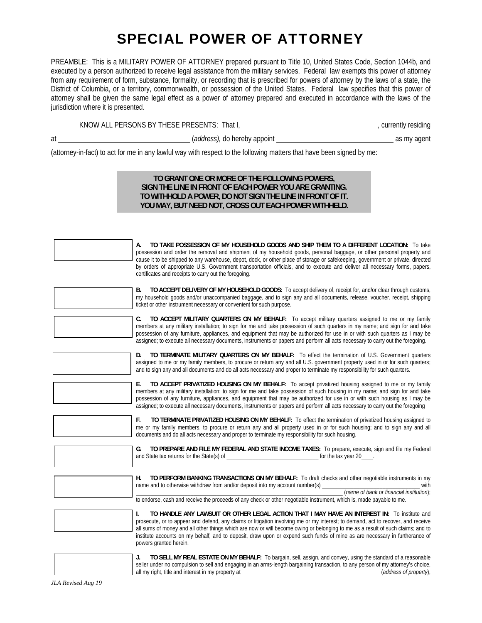# SPECIAL POWER OF ATTORNEY

PREAMBLE: This is a MILITARY POWER OF ATTORNEY prepared pursuant to Title 10, United States Code, Section 1044b, and executed by a person authorized to receive legal assistance from the military services. Federal law exempts this power of attorney from any requirement of form, substance, formality, or recording that is prescribed for powers of attorney by the laws of a state, the District of Columbia, or a territory, commonwealth, or possession of the United States. Federal law specifies that this power of attorney shall be given the same legal effect as a power of attorney prepared and executed in accordance with the laws of the jurisdiction where it is presented.

| KNOW ALL PERSONS BY THESE PRESENTS: | That I, | currently residing |  |
|-------------------------------------|---------|--------------------|--|
|                                     |         |                    |  |

at (*address),* do hereby appoint as my agent

(attorney-in-fact) to act for me in any lawful way with respect to the following matters that have been signed by me:

#### **TO GRANT ONE OR MORE OF THE FOLLOWING POWERS, SIGN THE LINE IN FRONT OF EACH POWER YOU ARE GRANTING. TO WITHHOLD A POWER, DO NOT SIGN THE LINE IN FRONT OF IT. YOU MAY, BUT NEED NOT, CROSS OUT EACH POWER WITHHELD.**

| TO TAKE POSSESSION OF MY HOUSEHOLD GOODS AND SHIP THEM TO A DIFFERENT LOCATION: To take<br>possession and order the removal and shipment of my household goods, personal baggage, or other personal property and<br>cause it to be shipped to any warehouse, depot, dock, or other place of storage or safekeeping, government or private, directed<br>by orders of appropriate U.S. Government transportation officials, and to execute and deliver all necessary forms, papers,<br>certificates and receipts to carry out the foregoing. |
|--------------------------------------------------------------------------------------------------------------------------------------------------------------------------------------------------------------------------------------------------------------------------------------------------------------------------------------------------------------------------------------------------------------------------------------------------------------------------------------------------------------------------------------------|
| TO ACCEPT DELIVERY OF MY HOUSEHOLD GOODS: To accept delivery of, receipt for, and/or clear through customs,<br>В.<br>my household goods and/or unaccompanied baggage, and to sign any and all documents, release, voucher, receipt, shipping<br>ticket or other instrument necessary or convenient for such purpose.                                                                                                                                                                                                                       |
| TO ACCEPT MILITARY QUARTERS ON MY BEHALF: To accept military quarters assigned to me or my family<br>C.<br>members at any military installation; to sign for me and take possession of such quarters in my name; and sign for and take<br>possession of any furniture, appliances, and equipment that may be authorized for use in or with such quarters as I may be<br>assigned; to execute all necessary documents, instruments or papers and perform all acts necessary to carry out the foregoing.                                     |
| TO TERMINATE MILITARY QUARTERS ON MY BEHALF: To effect the termination of U.S. Government quarters<br>D.<br>assigned to me or my family members, to procure or return any and all U.S. government property used in or for such quarters;<br>and to sign any and all documents and do all acts necessary and proper to terminate my responsibility for such quarters.                                                                                                                                                                       |
| TO ACCEPT PRIVATIZED HOUSING ON MY BEHALF: To accept privatized housing assigned to me or my family<br>Е.<br>members at any military installation; to sign for me and take possession of such housing in my name; and sign for and take<br>possession of any furniture, appliances, and equipment that may be authorized for use in or with such housing as I may be<br>assigned; to execute all necessary documents, instruments or papers and perform all acts necessary to carry out the foregoing                                      |
| TO TERMINATE PRIVATIZED HOUSING ON MY BEHALF: To effect the termination of privatized housing assigned to<br>F.<br>me or my family members, to procure or return any and all property used in or for such housing; and to sign any and all<br>documents and do all acts necessary and proper to terminate my responsibility for such housing.                                                                                                                                                                                              |
| TO PREPARE AND FILE MY FEDERAL AND STATE INCOME TAXES: To prepare, execute, sign and file my Federal<br>G.<br>for the tax year 20____.                                                                                                                                                                                                                                                                                                                                                                                                     |
| TO PERFORM BANKING TRANSACTIONS ON MY BEHALF: To draft checks and other negotiable instruments in my<br>Н.<br>name and to otherwise withdraw from and/or deposit into my account number(s)<br>with<br>(name of bank or financial institution):<br>to endorse, cash and receive the proceeds of any check or other negotiable instrument, which is, made payable to me.                                                                                                                                                                     |
| TO HANDLE ANY LAWSUIT OR OTHER LEGAL ACTION THAT I MAY HAVE AN INTEREST IN: To institute and<br>I.<br>prosecute, or to appear and defend, any claims or litigation involving me or my interest; to demand, act to recover, and receive<br>all sums of money and all other things which are now or will become owing or belonging to me as a result of such claims; and to<br>institute accounts on my behalf, and to deposit, draw upon or expend such funds of mine as are necessary in furtherance of<br>powers granted herein.          |
| TO CELL MV DEAL FCTATE ON MV DEUALE. To berasin                                                                                                                                                                                                                                                                                                                                                                                                                                                                                            |

**J. TO SELL MY REAL ESTATE ON MY BEHALF:** To bargain, sell, assign, and convey, using the standard of a reasonable seller under no compulsion to sell and engaging in an arms-length bargaining transaction, to any person of my attorney's choice, all my right, title and interest in my property at \_\_\_\_\_\_\_\_\_\_\_\_\_\_\_\_\_\_\_\_\_\_\_\_\_\_\_\_\_\_\_\_\_\_\_\_\_\_\_\_\_\_\_\_\_\_\_\_ (*address of property*),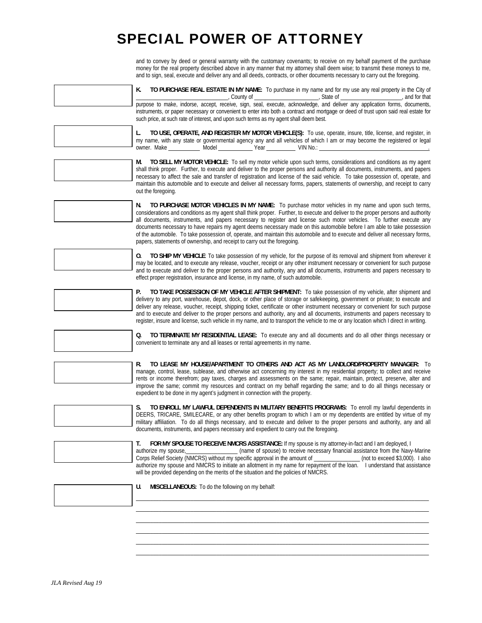## SPECIAL POWER OF ATTORNEY

and to convey by deed or general warranty with the customary covenants; to receive on my behalf payment of the purchase money for the real property described above in any manner that my attorney shall deem wise; to transmit these moneys to me, and to sign, seal, execute and deliver any and all deeds, contracts, or other documents necessary to carry out the foregoing.

| K.<br>TO PURCHASE REAL ESTATE IN MY NAME: To purchase in my name and for my use any real property in the City of                                                                                                                                                                                                                                                                                                                                                                                                                                                                                                                                       |
|--------------------------------------------------------------------------------------------------------------------------------------------------------------------------------------------------------------------------------------------------------------------------------------------------------------------------------------------------------------------------------------------------------------------------------------------------------------------------------------------------------------------------------------------------------------------------------------------------------------------------------------------------------|
| county of County of County of County of County of County of County of County of County of County of County of County of County of County of County of County of County of County of County of County of County of County of Co<br>instruments, or paper necessary or convenient to enter into both a contract and mortgage or deed of trust upon said real estate for<br>such price, at such rate of interest, and upon such terms as my agent shall deem best.                                                                                                                                                                                        |
| TO USE, OPERATE, AND REGISTER MY MOTOR VEHICLE(S): To use, operate, insure, title, license, and register, in<br>L.<br>my name, with any state or governmental agency any and all vehicles of which I am or may become the registered or legal                                                                                                                                                                                                                                                                                                                                                                                                          |
| TO SELL MY MOTOR VEHICLE: To sell my motor vehicle upon such terms, considerations and conditions as my agent<br>M.                                                                                                                                                                                                                                                                                                                                                                                                                                                                                                                                    |
| shall think proper. Further, to execute and deliver to the proper persons and authority all documents, instruments, and papers<br>necessary to affect the sale and transfer of registration and license of the said vehicle. To take possession of, operate, and<br>maintain this automobile and to execute and deliver all necessary forms, papers, statements of ownership, and receipt to carry<br>out the foregoing.                                                                                                                                                                                                                               |
| TO PURCHASE MOTOR VEHICLES IN MY NAME: To purchase motor vehicles in my name and upon such terms,<br>N.<br>considerations and conditions as my agent shall think proper. Further, to execute and deliver to the proper persons and authority<br>all documents, instruments, and papers necessary to register and license such motor vehicles. To further execute any<br>documents necessary to have repairs my agent deems necessary made on this automobile before I am able to take possession                                                                                                                                                       |
| of the automobile. To take possession of, operate, and maintain this automobile and to execute and deliver all necessary forms,<br>papers, statements of ownership, and receipt to carry out the foregoing.                                                                                                                                                                                                                                                                                                                                                                                                                                            |
| TO SHIP MY VEHICLE: To take possession of my vehicle, for the purpose of its removal and shipment from wherever it<br>0.<br>may be located, and to execute any release, voucher, receipt or any other instrument necessary or convenient for such purpose<br>and to execute and deliver to the proper persons and authority, any and all documents, instruments and papers necessary to                                                                                                                                                                                                                                                                |
| effect proper registration, insurance and license, in my name, of such automobile.                                                                                                                                                                                                                                                                                                                                                                                                                                                                                                                                                                     |
| P.<br>TO TAKE POSSESSION OF MY VEHICLE AFTER SHIPMENT: To take possession of my vehicle, after shipment and<br>delivery to any port, warehouse, depot, dock, or other place of storage or safekeeping, government or private; to execute and<br>deliver any release, voucher, receipt, shipping ticket, certificate or other instrument necessary or convenient for such purpose<br>and to execute and deliver to the proper persons and authority, any and all documents, instruments and papers necessary to<br>register, insure and license, such vehicle in my name, and to transport the vehicle to me or any location which I direct in writing. |
| TO TERMINATE MY RESIDENTIAL LEASE: To execute any and all documents and do all other things necessary or<br>Q.<br>convenient to terminate any and all leases or rental agreements in my name.                                                                                                                                                                                                                                                                                                                                                                                                                                                          |
|                                                                                                                                                                                                                                                                                                                                                                                                                                                                                                                                                                                                                                                        |
| TO LEASE MY HOUSE/APARTMENT TO OTHERS AND ACT AS MY LANDLORD/PROPERTY MANAGER: To<br>R.<br>manage, control, lease, sublease, and otherwise act concerning my interest in my residential property; to collect and receive<br>rents or income therefrom; pay taxes, charges and assessments on the same; repair, maintain, protect, preserve, alter and<br>improve the same; commit my resources and contract on my behalf regarding the same; and to do all things necessary or<br>expedient to be done in my agent's judgment in connection with the property.                                                                                         |
| S.<br>TO ENROLL MY LAWFUL DEPENDENTS IN MILITARY BENEFITS PROGRAMS: To enroll my lawful dependents in<br>DEERS, TRICARE, SMILECARE, or any other benefits program to which I am or my dependents are entitled by virtue of my<br>military affiliation. To do all things necessary, and to execute and deliver to the proper persons and authority, any and all<br>documents, instruments, and papers necessary and expedient to carry out the foregoing.                                                                                                                                                                                               |
| FOR MY SPOUSE TO RECEIVE NMCRS ASSISTANCE: If my spouse is my attorney-in-fact and I am deployed, I<br>Т.<br>(name of spouse) to receive necessary financial assistance from the Navy-Marine<br>authorize my spouse,<br>Corps Relief Society (NMCRS) without my specific approval in the amount of _______________ (not to exceed \$3,000). I also                                                                                                                                                                                                                                                                                                     |
| authorize my spouse and NMCRS to initiate an allotment in my name for repayment of the loan. I understand that assistance<br>will be provided depending on the merits of the situation and the policies of NMCRS.                                                                                                                                                                                                                                                                                                                                                                                                                                      |
| U.<br>MISCELLANEOUS: To do the following on my behalf:                                                                                                                                                                                                                                                                                                                                                                                                                                                                                                                                                                                                 |
|                                                                                                                                                                                                                                                                                                                                                                                                                                                                                                                                                                                                                                                        |
|                                                                                                                                                                                                                                                                                                                                                                                                                                                                                                                                                                                                                                                        |
|                                                                                                                                                                                                                                                                                                                                                                                                                                                                                                                                                                                                                                                        |

\_\_\_\_\_\_\_\_\_\_\_\_\_\_\_\_\_\_\_\_\_\_\_\_\_\_\_\_\_\_\_\_\_\_\_\_\_\_\_\_\_\_\_\_\_\_\_\_\_\_\_\_\_\_\_\_\_\_\_\_\_\_\_\_\_\_\_\_\_\_\_\_\_\_\_\_\_\_\_\_\_\_\_\_\_\_\_\_\_\_\_\_\_\_\_\_\_\_\_\_\_\_ \_\_\_\_\_\_\_\_\_\_\_\_\_\_\_\_\_\_\_\_\_\_\_\_\_\_\_\_\_\_\_\_\_\_\_\_\_\_\_\_\_\_\_\_\_\_\_\_\_\_\_\_\_\_\_\_\_\_\_\_\_\_\_\_\_\_\_\_\_\_\_\_\_\_\_\_\_\_\_\_\_\_\_\_\_\_\_\_\_\_\_\_\_\_\_\_\_\_\_\_\_\_ \_\_\_\_\_\_\_\_\_\_\_\_\_\_\_\_\_\_\_\_\_\_\_\_\_\_\_\_\_\_\_\_\_\_\_\_\_\_\_\_\_\_\_\_\_\_\_\_\_\_\_\_\_\_\_\_\_\_\_\_\_\_\_\_\_\_\_\_\_\_\_\_\_\_\_\_\_\_\_\_\_\_\_\_\_\_\_\_\_\_\_\_\_\_\_\_\_\_\_\_\_\_